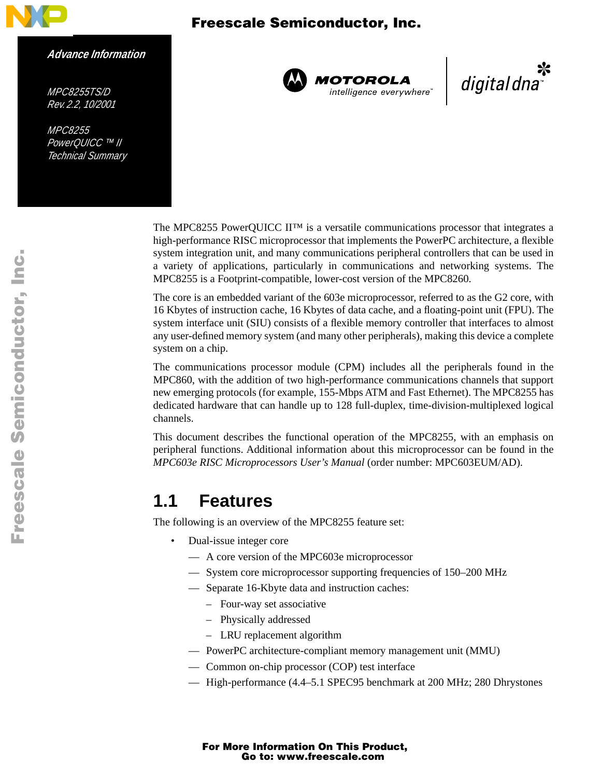

### *Advance Information*

*MPC8255TS/D Rev. 2.2, 10/2001*

*MPC8255 PowerQUICC ™ II Technical Summary*





**MOTOROLA**<br>intelligence everywhere<sup>®</sup>

digitaldna

The MPC8255 PowerQUICC  $II^{\text{TM}}$  is a versatile communications processor that integrates a high-performance RISC microprocessor that implements the PowerPC architecture, a flexible system integration unit, and many communications peripheral controllers that can be used in a variety of applications, particularly in communications and networking systems. The MPC8255 is a Footprint-compatible, lower-cost version of the MPC8260.

The core is an embedded variant of the 603e microprocessor, referred to as the G2 core, with 16 Kbytes of instruction cache, 16 Kbytes of data cache, and a floating-point unit (FPU). The system interface unit (SIU) consists of a flexible memory controller that interfaces to almost any user-defined memory system (and many other peripherals), making this device a complete system on a chip.

The communications processor module (CPM) includes all the peripherals found in the MPC860, with the addition of two high-performance communications channels that support new emerging protocols (for example, 155-Mbps ATM and Fast Ethernet). The MPC8255 has dedicated hardware that can handle up to 128 full-duplex, time-division-multiplexed logical channels.

This document describes the functional operation of the MPC8255, with an emphasis on peripheral functions. Additional information about this microprocessor can be found in the *MPC603e RISC Microprocessors User's Manual* (order number: MPC603EUM/AD).

## **1.1 Features**

The following is an overview of the MPC8255 feature set:

- Dual-issue integer core
	- A core version of the MPC603e microprocessor
	- System core microprocessor supporting frequencies of 150–200 MHz
	- Separate 16-Kbyte data and instruction caches:
		- Four-way set associative
		- Physically addressed
		- LRU replacement algorithm
	- PowerPC architecture-compliant memory management unit (MMU)
	- Common on-chip processor (COP) test interface
	- High-performance (4.4–5.1 SPEC95 benchmark at 200 MHz; 280 Dhrystones

u  $\mathbf 0$ t o

r, I

n

.<br>ق

For More Information On This Product, Go to: www.freescale.com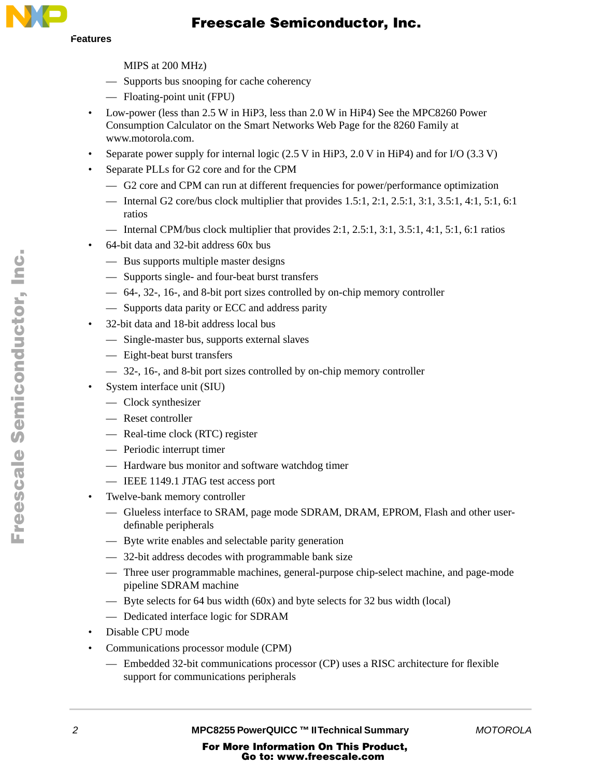

**Features** 

- MIPS at 200 MHz)
- Supports bus snooping for cache coherency
- Floating-point unit (FPU)
- Low-power (less than 2.5 W in HiP3, less than 2.0 W in HiP4) See the MPC8260 Power Consumption Calculator on the Smart Networks Web Page for the 8260 Family at www.motorola.com.
- Separate power supply for internal logic (2.5 V in HiP3, 2.0 V in HiP4) and for I/O (3.3 V)
- Separate PLLs for G2 core and for the CPM
	- G2 core and CPM can run at different frequencies for power/performance optimization
	- Internal G2 core/bus clock multiplier that provides  $1.5:1, 2:1, 2.5:1, 3:1, 3.5:1, 4:1, 5:1, 6:1$ ratios
	- Internal CPM/bus clock multiplier that provides  $2:1, 2.5:1, 3:1, 3.5:1, 4:1, 5:1, 6:1$  ratios
- 64-bit data and 32-bit address 60x bus
	- Bus supports multiple master designs
	- Supports single- and four-beat burst transfers
	- 64-, 32-, 16-, and 8-bit port sizes controlled by on-chip memory controller
	- Supports data parity or ECC and address parity
- 32-bit data and 18-bit address local bus
	- Single-master bus, supports external slaves
	- Eight-beat burst transfers
	- 32-, 16-, and 8-bit port sizes controlled by on-chip memory controller
- System interface unit (SIU)
	- Clock synthesizer
	- Reset controller
	- Real-time clock (RTC) register
	- Periodic interrupt timer
	- Hardware bus monitor and software watchdog timer
	- IEEE 1149.1 JTAG test access port
- Twelve-bank memory controller
	- Glueless interface to SRAM, page mode SDRAM, DRAM, EPROM, Flash and other userdefinable peripherals
	- Byte write enables and selectable parity generation
	- 32-bit address decodes with programmable bank size
	- Three user programmable machines, general-purpose chip-select machine, and page-mode pipeline SDRAM machine
	- Byte selects for 64 bus width  $(60x)$  and byte selects for 32 bus width (local)
	- Dedicated interface logic for SDRAM
- Disable CPU mode
- Communications processor module (CPM)
	- Embedded 32-bit communications processor (CP) uses a RISC architecture for flexible support for communications peripherals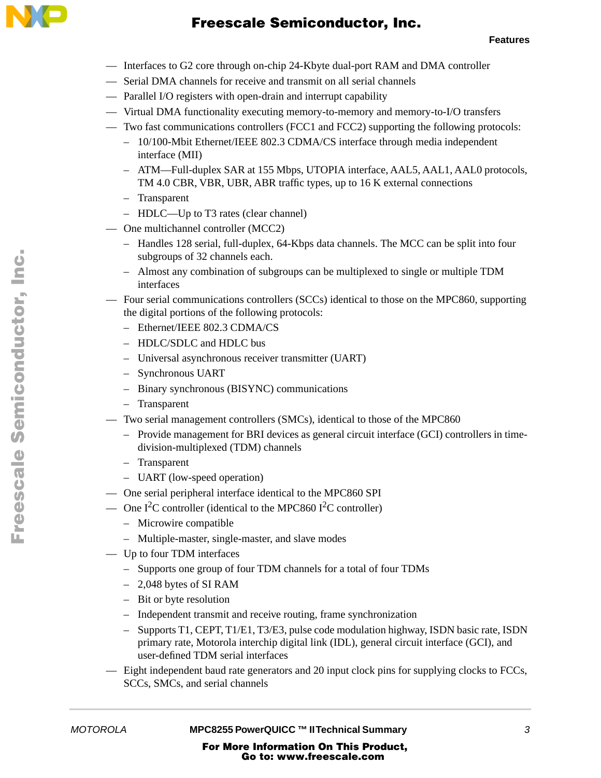

- Interfaces to G2 core through on-chip 24-Kbyte dual-port RAM and DMA controller
- Serial DMA channels for receive and transmit on all serial channels
- Parallel I/O registers with open-drain and interrupt capability
- Virtual DMA functionality executing memory-to-memory and memory-to-I/O transfers
- Two fast communications controllers (FCC1 and FCC2) supporting the following protocols:
	- 10/100-Mbit Ethernet/IEEE 802.3 CDMA/CS interface through media independent interface (MII)
	- ATM—Full-duplex SAR at 155 Mbps, UTOPIA interface, AAL5, AAL1, AAL0 protocols, TM 4.0 CBR, VBR, UBR, ABR traffic types, up to 16 K external connections
	- Transparent
	- HDLC—Up to T3 rates (clear channel)
- One multichannel controller (MCC2)
	- Handles 128 serial, full-duplex, 64-Kbps data channels. The MCC can be split into four subgroups of 32 channels each.
	- Almost any combination of subgroups can be multiplexed to single or multiple TDM interfaces
- Four serial communications controllers (SCCs) identical to those on the MPC860, supporting the digital portions of the following protocols:
	- Ethernet/IEEE 802.3 CDMA/CS
	- HDLC/SDLC and HDLC bus
	- Universal asynchronous receiver transmitter (UART)
	- Synchronous UART
	- Binary synchronous (BISYNC) communications
	- Transparent
- Two serial management controllers (SMCs), identical to those of the MPC860
	- Provide management for BRI devices as general circuit interface (GCI) controllers in timedivision-multiplexed (TDM) channels
	- Transparent
	- UART (low-speed operation)
- One serial peripheral interface identical to the MPC860 SPI
- One I<sup>2</sup>C controller (identical to the MPC860 I<sup>2</sup>C controller)
	- Microwire compatible
	- Multiple-master, single-master, and slave modes
- Up to four TDM interfaces
	- Supports one group of four TDM channels for a total of four TDMs
	- 2,048 bytes of SI RAM
	- Bit or byte resolution
	- Independent transmit and receive routing, frame synchronization
	- Supports T1, CEPT, T1/E1, T3/E3, pulse code modulation highway, ISDN basic rate, ISDN primary rate, Motorola interchip digital link (IDL), general circuit interface (GCI), and user-defined TDM serial interfaces
- Eight independent baud rate generators and 20 input clock pins for supplying clocks to FCCs, SCCs, SMCs, and serial channels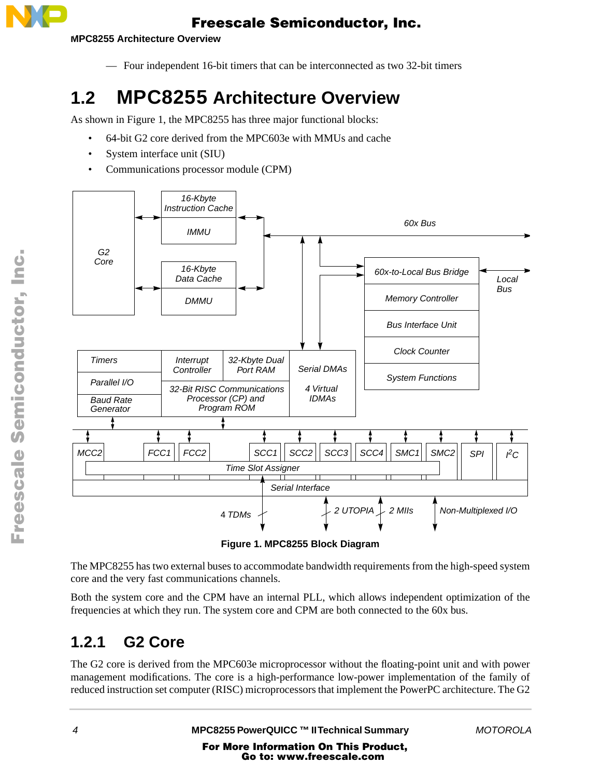

**MPC8255 Architecture Overview** 

— Four independent 16-bit timers that can be interconnected as two 32-bit timers

# **1.2 MPC8255 Architecture Overview**

As shown in Figure 1, the MPC8255 has three major functional blocks:

- 64-bit G2 core derived from the MPC603e with MMUs and cache
- System interface unit (SIU)
- Communications processor module (CPM)



**Figure 1. MPC8255 Block Diagram**

The MPC8255 has two external buses to accommodate bandwidth requirements from the high-speed system core and the very fast communications channels.

Both the system core and the CPM have an internal PLL, which allows independent optimization of the frequencies at which they run. The system core and CPM are both connected to the 60x bus.

# **1.2.1 G2 Core**

The G2 core is derived from the MPC603e microprocessor without the floating-point unit and with power management modifications. The core is a high-performance low-power implementation of the family of reduced instruction set computer (RISC) microprocessors that implement the PowerPC architecture. The G2

d u  $\mathbf 0$ t o

r, I

n

.<br>ق

For More Information On This Product, Go to: www.freescale.com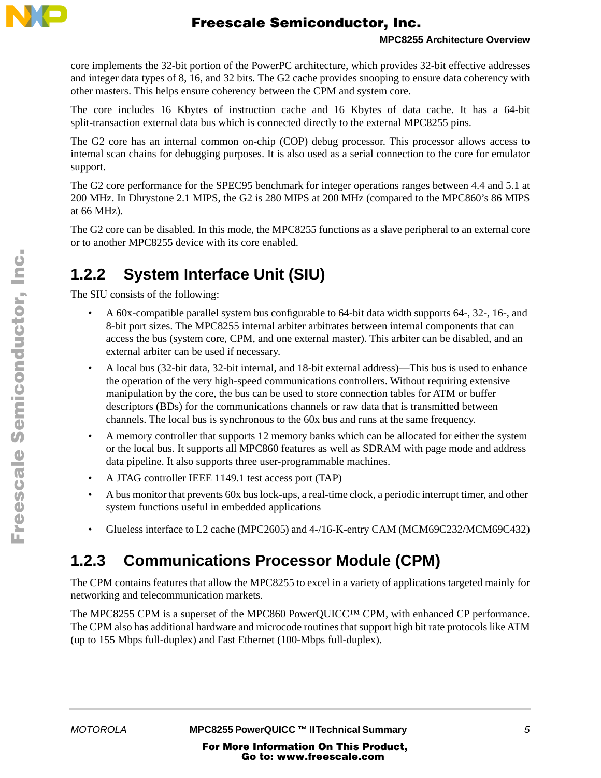

core implements the 32-bit portion of the PowerPC architecture, which provides 32-bit effective addresses and integer data types of 8, 16, and 32 bits. The G2 cache provides snooping to ensure data coherency with other masters. This helps ensure coherency between the CPM and system core.

The core includes 16 Kbytes of instruction cache and 16 Kbytes of data cache. It has a 64-bit split-transaction external data bus which is connected directly to the external MPC8255 pins.

The G2 core has an internal common on-chip (COP) debug processor. This processor allows access to internal scan chains for debugging purposes. It is also used as a serial connection to the core for emulator support.

The G2 core performance for the SPEC95 benchmark for integer operations ranges between 4.4 and 5.1 at 200 MHz. In Dhrystone 2.1 MIPS, the G2 is 280 MIPS at 200 MHz (compared to the MPC860's 86 MIPS at 66 MHz).

The G2 core can be disabled. In this mode, the MPC8255 functions as a slave peripheral to an external core or to another MPC8255 device with its core enabled.

# **1.2.2 System Interface Unit (SIU)**

The SIU consists of the following:

- A 60x-compatible parallel system bus configurable to 64-bit data width supports 64-, 32-, 16-, and 8-bit port sizes. The MPC8255 internal arbiter arbitrates between internal components that can access the bus (system core, CPM, and one external master). This arbiter can be disabled, and an external arbiter can be used if necessary.
- A local bus (32-bit data, 32-bit internal, and 18-bit external address)—This bus is used to enhance the operation of the very high-speed communications controllers. Without requiring extensive manipulation by the core, the bus can be used to store connection tables for ATM or buffer descriptors (BDs) for the communications channels or raw data that is transmitted between channels. The local bus is synchronous to the 60x bus and runs at the same frequency.
- A memory controller that supports 12 memory banks which can be allocated for either the system or the local bus. It supports all MPC860 features as well as SDRAM with page mode and address data pipeline. It also supports three user-programmable machines.
- A JTAG controller IEEE 1149.1 test access port (TAP)
- A bus monitor that prevents 60x bus lock-ups, a real-time clock, a periodic interrupt timer, and other system functions useful in embedded applications
- Glueless interface to L2 cache (MPC2605) and 4-/16-K-entry CAM (MCM69C232/MCM69C432)

# **1.2.3 Communications Processor Module (CPM)**

The CPM contains features that allow the MPC8255 to excel in a variety of applications targeted mainly for networking and telecommunication markets.

The MPC8255 CPM is a superset of the MPC860 PowerQUICC™ CPM, with enhanced CP performance. The CPM also has additional hardware and microcode routines that support high bit rate protocols like ATM (up to 155 Mbps full-duplex) and Fast Ethernet (100-Mbps full-duplex).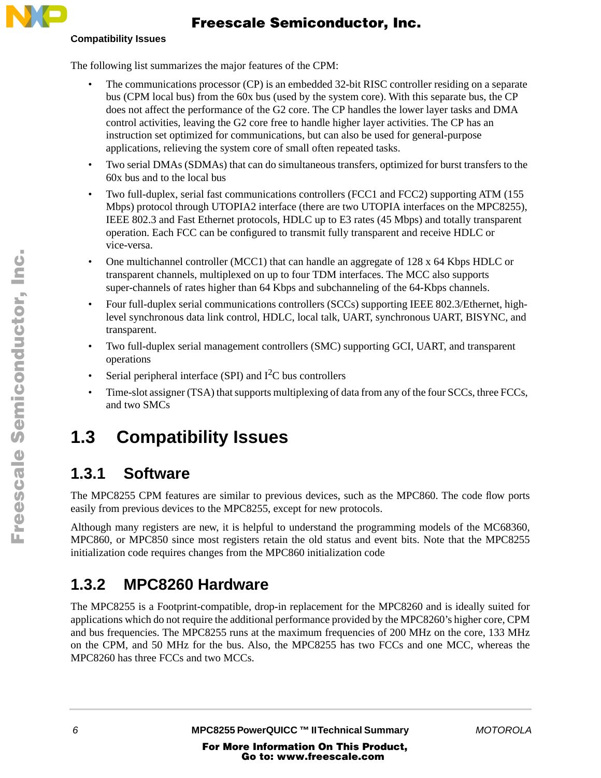### **Compatibility Issues**

# Freescale Semiconductor, Inc.

The following list summarizes the major features of the CPM:

- The communications processor (CP) is an embedded 32-bit RISC controller residing on a separate bus (CPM local bus) from the 60x bus (used by the system core). With this separate bus, the CP does not affect the performance of the G2 core. The CP handles the lower layer tasks and DMA control activities, leaving the G2 core free to handle higher layer activities. The CP has an instruction set optimized for communications, but can also be used for general-purpose applications, relieving the system core of small often repeated tasks.
- Two serial DMAs (SDMAs) that can do simultaneous transfers, optimized for burst transfers to the 60x bus and to the local bus
- Two full-duplex, serial fast communications controllers (FCC1 and FCC2) supporting ATM (155) Mbps) protocol through UTOPIA2 interface (there are two UTOPIA interfaces on the MPC8255), IEEE 802.3 and Fast Ethernet protocols, HDLC up to E3 rates (45 Mbps) and totally transparent operation. Each FCC can be configured to transmit fully transparent and receive HDLC or vice-versa.
- One multichannel controller (MCC1) that can handle an aggregate of 128 x 64 Kbps HDLC or transparent channels, multiplexed on up to four TDM interfaces. The MCC also supports super-channels of rates higher than 64 Kbps and subchanneling of the 64-Kbps channels.
- Four full-duplex serial communications controllers (SCCs) supporting IEEE 802.3/Ethernet, highlevel synchronous data link control, HDLC, local talk, UART, synchronous UART, BISYNC, and transparent.
- Two full-duplex serial management controllers (SMC) supporting GCI, UART, and transparent operations
- Serial peripheral interface (SPI) and  $I<sup>2</sup>C$  bus controllers
- Time-slot assigner (TSA) that supports multiplexing of data from any of the four SCCs, three FCCs, and two SMCs

# **1.3 Compatibility Issues**

# **1.3.1 Software**

The MPC8255 CPM features are similar to previous devices, such as the MPC860. The code flow ports easily from previous devices to the MPC8255, except for new protocols.

Although many registers are new, it is helpful to understand the programming models of the MC68360, MPC860, or MPC850 since most registers retain the old status and event bits. Note that the MPC8255 initialization code requires changes from the MPC860 initialization code

# **1.3.2 MPC8260 Hardware**

The MPC8255 is a Footprint-compatible, drop-in replacement for the MPC8260 and is ideally suited for applications which do not require the additional performance provided by the MPC8260's higher core, CPM and bus frequencies. The MPC8255 runs at the maximum frequencies of 200 MHz on the core, 133 MHz on the CPM, and 50 MHz for the bus. Also, the MPC8255 has two FCCs and one MCC, whereas the MPC8260 has three FCCs and two MCCs.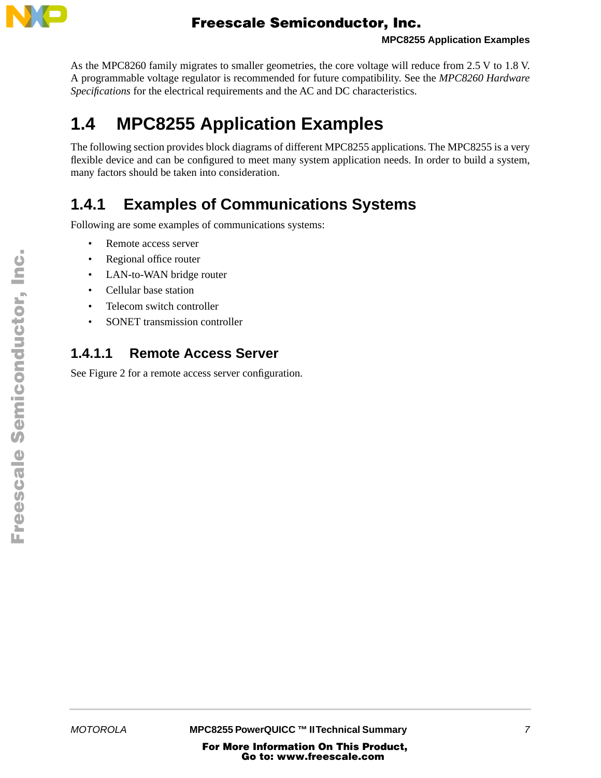

As the MPC8260 family migrates to smaller geometries, the core voltage will reduce from 2.5 V to 1.8 V. A programmable voltage regulator is recommended for future compatibility. See the *MPC8260 Hardware Specifications* for the electrical requirements and the AC and DC characteristics.

# **1.4 MPC8255 Application Examples**

The following section provides block diagrams of different MPC8255 applications. The MPC8255 is a very flexible device and can be configured to meet many system application needs. In order to build a system, many factors should be taken into consideration.

# **1.4.1 Examples of Communications Systems**

Following are some examples of communications systems:

- Remote access server
- Regional office router
- LAN-to-WAN bridge router
- Cellular base station
- Telecom switch controller
- SONET transmission controller

### **1.4.1.1 Remote Access Server**

See Figure 2 for a remote access server configuration.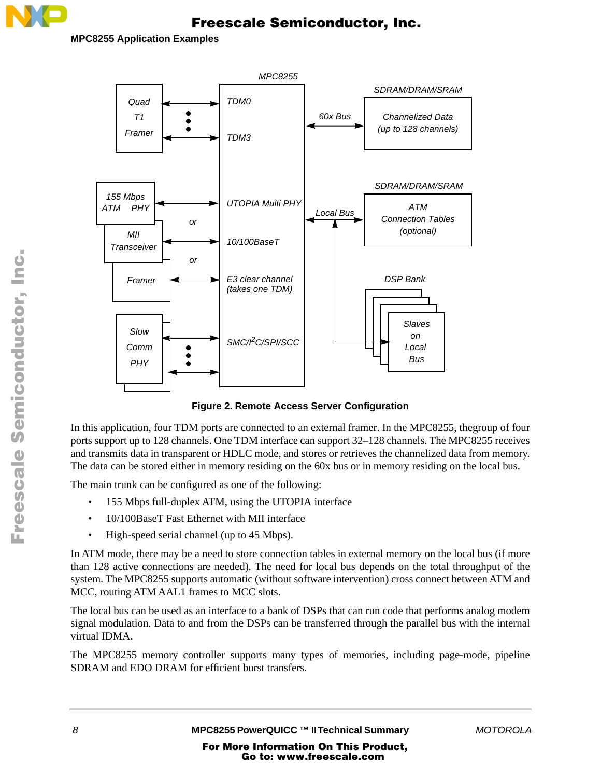

**MPC8255 Application Examples** 



**Figure 2. Remote Access Server Configuration**

In this application, four TDM ports are connected to an external framer. In the MPC8255, thegroup of four ports support up to 128 channels. One TDM interface can support 32–128 channels. The MPC8255 receives and transmits data in transparent or HDLC mode, and stores or retrieves the channelized data from memory. The data can be stored either in memory residing on the 60x bus or in memory residing on the local bus.

The main trunk can be configured as one of the following:

- 155 Mbps full-duplex ATM, using the UTOPIA interface
- 10/100BaseT Fast Ethernet with MII interface
- High-speed serial channel (up to 45 Mbps).

In ATM mode, there may be a need to store connection tables in external memory on the local bus (if more than 128 active connections are needed). The need for local bus depends on the total throughput of the system. The MPC8255 supports automatic (without software intervention) cross connect between ATM and MCC, routing ATM AAL1 frames to MCC slots.

The local bus can be used as an interface to a bank of DSPs that can run code that performs analog modem signal modulation. Data to and from the DSPs can be transferred through the parallel bus with the internal virtual IDMA.

The MPC8255 memory controller supports many types of memories, including page-mode, pipeline SDRAM and EDO DRAM for efficient burst transfers.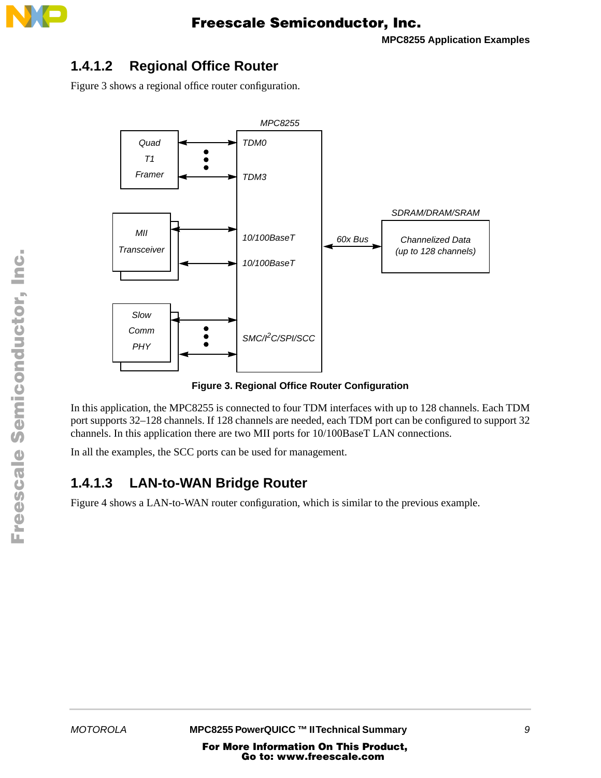

**MPC8255 Application Examples**

### **1.4.1.2 Regional Office Router**

Figure 3 shows a regional office router configuration.



**Figure 3. Regional Office Router Configuration**

In this application, the MPC8255 is connected to four TDM interfaces with up to 128 channels. Each TDM port supports 32–128 channels. If 128 channels are needed, each TDM port can be configured to support 32 channels. In this application there are two MII ports for 10/100BaseT LAN connections.

In all the examples, the SCC ports can be used for management.

### **1.4.1.3 LAN-to-WAN Bridge Router**

Figure 4 shows a LAN-to-WAN router configuration, which is similar to the previous example.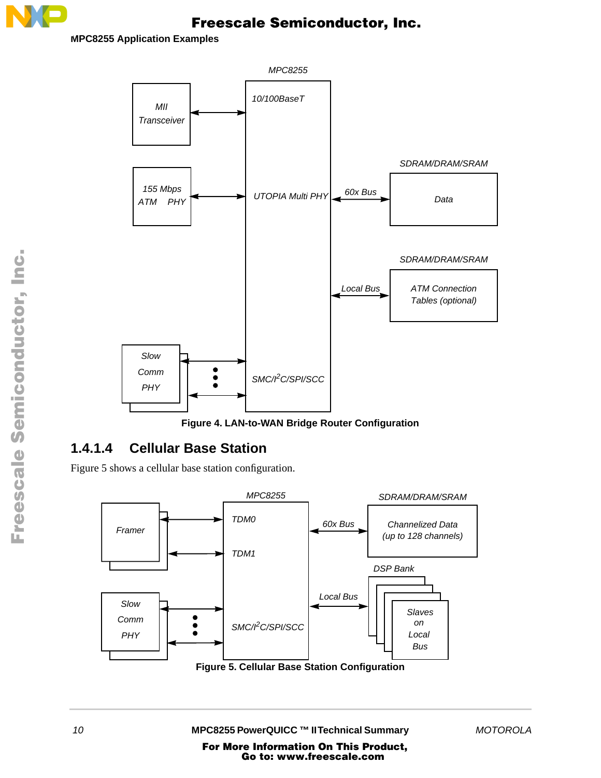

### **MPC8255 Application Examples**



**Figure 4. LAN-to-WAN Bridge Router Configuration**

### **1.4.1.4 Cellular Base Station**

Figure 5 shows a cellular base station configuration.



r, I

n

.<br>ق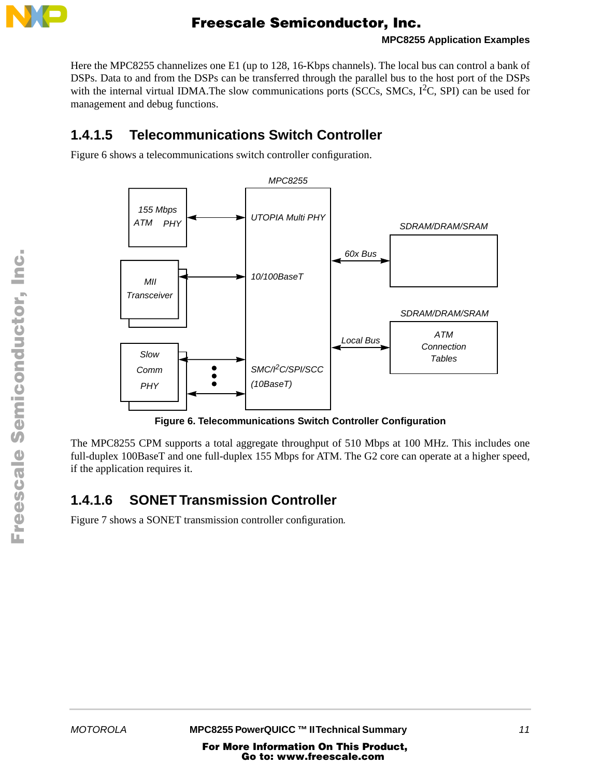

Here the MPC8255 channelizes one E1 (up to 128, 16-Kbps channels). The local bus can control a bank of DSPs. Data to and from the DSPs can be transferred through the parallel bus to the host port of the DSPs with the internal virtual IDMA. The slow communications ports (SCCs, SMCs,  $I<sup>2</sup>C$ , SPI) can be used for management and debug functions.

### **1.4.1.5 Telecommunications Switch Controller**

Figure 6 shows a telecommunications switch controller configuration.



**Figure 6. Telecommunications Switch Controller Configuration**

The MPC8255 CPM supports a total aggregate throughput of 510 Mbps at 100 MHz. This includes one full-duplex 100BaseT and one full-duplex 155 Mbps for ATM. The G2 core can operate at a higher speed, if the application requires it.

### **1.4.1.6 SONET Transmission Controller**

Figure 7 shows a SONET transmission controller configuration*.*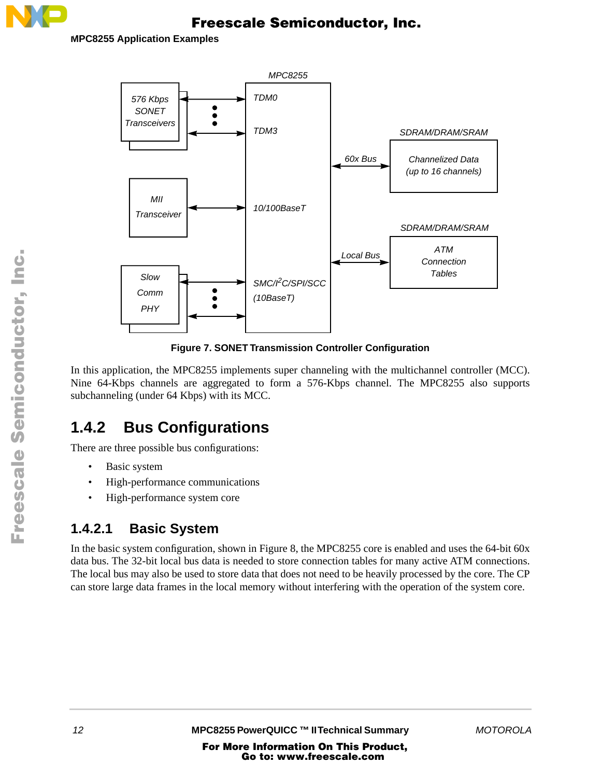

**MPC8255 Application Examples** 



**Figure 7. SONET Transmission Controller Configuration**

In this application, the MPC8255 implements super channeling with the multichannel controller (MCC). Nine 64-Kbps channels are aggregated to form a 576-Kbps channel. The MPC8255 also supports subchanneling (under 64 Kbps) with its MCC.

# **1.4.2 Bus Configurations**

There are three possible bus configurations:

- Basic system
- High-performance communications
- High-performance system core

### **1.4.2.1 Basic System**

In the basic system configuration, shown in Figure 8, the MPC8255 core is enabled and uses the 64-bit 60x data bus. The 32-bit local bus data is needed to store connection tables for many active ATM connections. The local bus may also be used to store data that does not need to be heavily processed by the core. The CP can store large data frames in the local memory without interfering with the operation of the system core.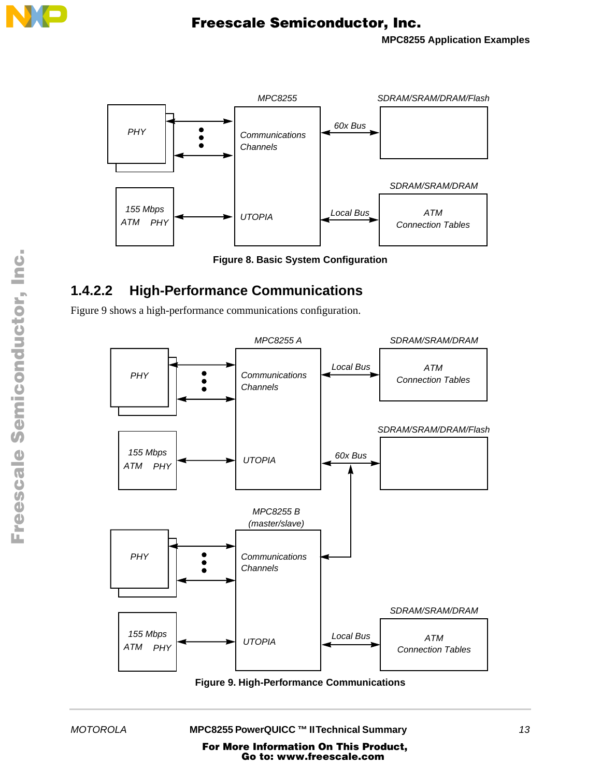



**Figure 8. Basic System Configuration**

## **1.4.2.2 High-Performance Communications**

Figure 9 shows a high-performance communications configuration.



**Figure 9. High-Performance Communications**

Fr  $\boldsymbol{\Phi}$  $\bf \Phi$  $\boldsymbol{\eta}$  $\mathbf 0$ 

ale

 $\boldsymbol{g}$  $\bf \Phi$ 

mic

o n d u  $\mathbf 0$ t o

r, I

n

.<br>ق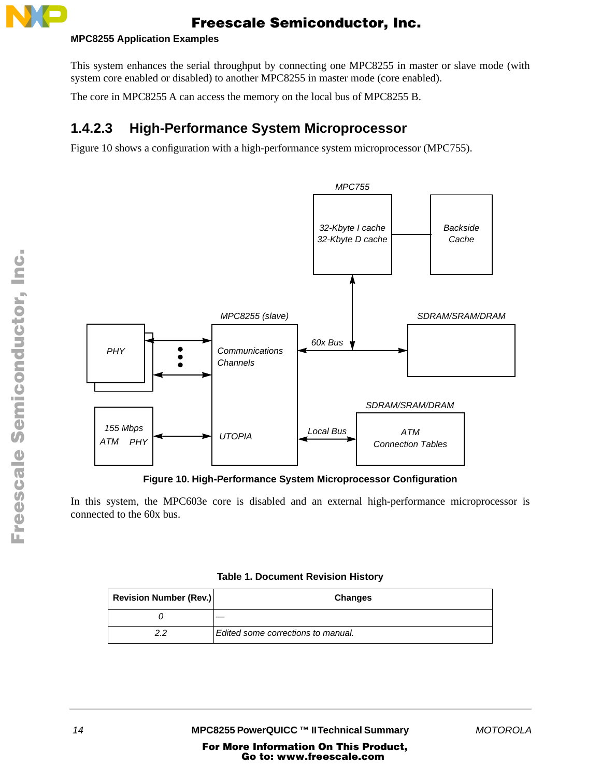

#### **MPC8255 Application Examples**

This system enhances the serial throughput by connecting one MPC8255 in master or slave mode (with system core enabled or disabled) to another MPC8255 in master mode (core enabled).

The core in MPC8255 A can access the memory on the local bus of MPC8255 B.

### **1.4.2.3 High-Performance System Microprocessor**

Figure 10 shows a configuration with a high-performance system microprocessor (MPC755).



**Figure 10. High-Performance System Microprocessor Configuration** 

In this system, the MPC603e core is disabled and an external high-performance microprocessor is connected to the 60x bus.

| <b>Table 1. Document Revision History</b> |
|-------------------------------------------|
|                                           |

| <b>Revision Number (Rev.)</b> | <b>Changes</b>                     |
|-------------------------------|------------------------------------|
|                               |                                    |
| っっ                            | Edited some corrections to manual. |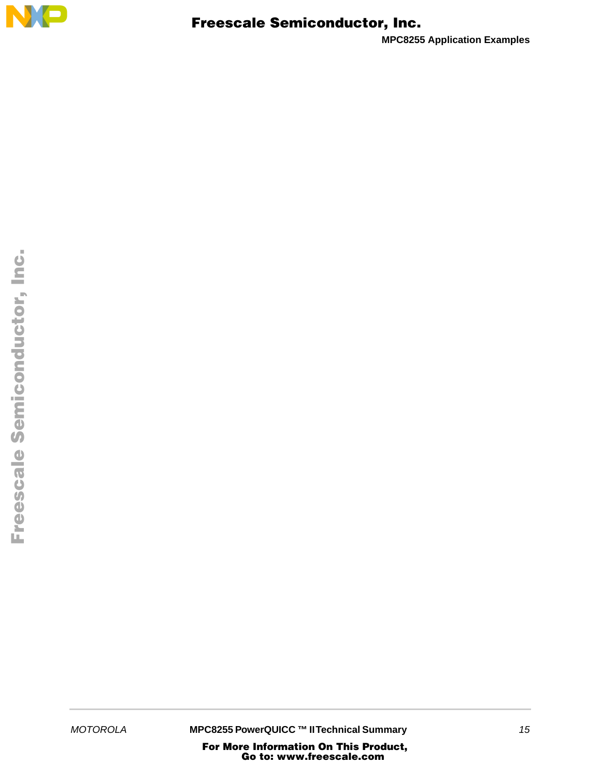

**MPC8255 Application Examples**